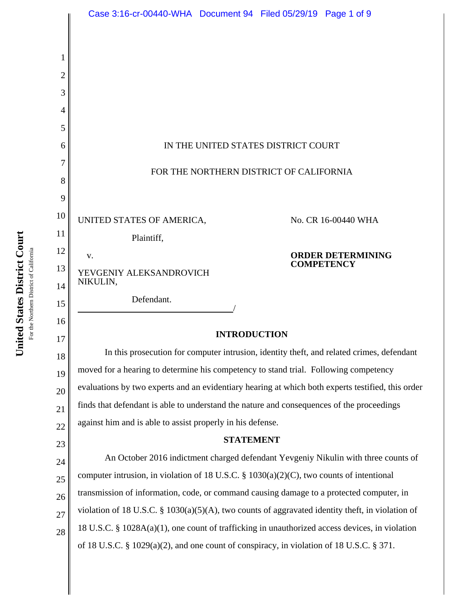|          | Case 3:16-cr-00440-WHA Document 94 Filed 05/29/19 Page 1 of 9                                     |
|----------|---------------------------------------------------------------------------------------------------|
|          |                                                                                                   |
|          |                                                                                                   |
| 2        |                                                                                                   |
| 3        |                                                                                                   |
| 4<br>5   |                                                                                                   |
| 6        | IN THE UNITED STATES DISTRICT COURT                                                               |
| 7        |                                                                                                   |
| 8        | FOR THE NORTHERN DISTRICT OF CALIFORNIA                                                           |
| 9        |                                                                                                   |
| 10       | UNITED STATES OF AMERICA,<br>No. CR 16-00440 WHA                                                  |
| 11       | Plaintiff,                                                                                        |
| 12       | <b>ORDER DETERMINING</b><br>V.<br><b>COMPETENCY</b>                                               |
| 13       | YEVGENIY ALEKSANDROVICH<br>NIKULIN,                                                               |
| 14<br>15 | Defendant.                                                                                        |
| 16       |                                                                                                   |
| 17       | <b>INTRODUCTION</b>                                                                               |
| 18       | In this prosecution for computer intrusion, identity theft, and related crimes, defendant         |
| 19       | moved for a hearing to determine his competency to stand trial. Following competency              |
| 20       | evaluations by two experts and an evidentiary hearing at which both experts testified, this order |
| 21       | finds that defendant is able to understand the nature and consequences of the proceedings         |
| 22       | against him and is able to assist properly in his defense.<br><b>STATEMENT</b>                    |
| 23       | An October 2016 indictment charged defendant Yevgeniy Nikulin with three counts of                |
| 24<br>25 | computer intrusion, in violation of 18 U.S.C. $\S$ 1030(a)(2)(C), two counts of intentional       |
| 26       | transmission of information, code, or command causing damage to a protected computer, in          |
| 27       | violation of 18 U.S.C. § 1030(a)(5)(A), two counts of aggravated identity theft, in violation of  |
| 28       | 18 U.S.C. § 1028A(a)(1), one count of trafficking in unauthorized access devices, in violation    |
|          | of 18 U.S.C. § 1029(a)(2), and one count of conspiracy, in violation of 18 U.S.C. § 371.          |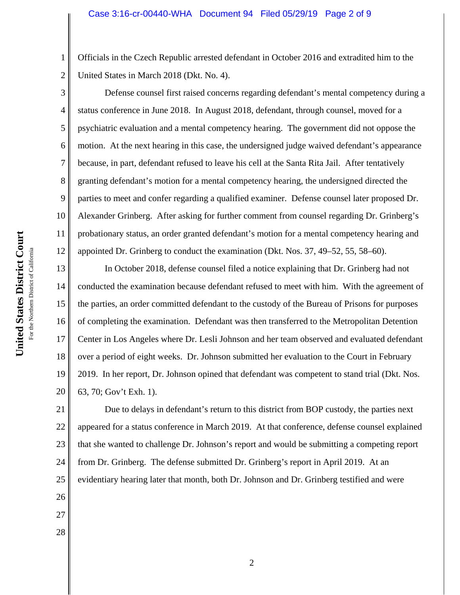Officials in the Czech Republic arrested defendant in October 2016 and extradited him to the United States in March 2018 (Dkt. No. 4).

12 Defense counsel first raised concerns regarding defendant's mental competency during a status conference in June 2018. In August 2018, defendant, through counsel, moved for a psychiatric evaluation and a mental competency hearing. The government did not oppose the motion. At the next hearing in this case, the undersigned judge waived defendant's appearance because, in part, defendant refused to leave his cell at the Santa Rita Jail. After tentatively granting defendant's motion for a mental competency hearing, the undersigned directed the parties to meet and confer regarding a qualified examiner. Defense counsel later proposed Dr. Alexander Grinberg. After asking for further comment from counsel regarding Dr. Grinberg's probationary status, an order granted defendant's motion for a mental competency hearing and appointed Dr. Grinberg to conduct the examination (Dkt. Nos. 37, 49–52, 55, 58–60).

13 14 15 16 17 18 19 20 In October 2018, defense counsel filed a notice explaining that Dr. Grinberg had not conducted the examination because defendant refused to meet with him. With the agreement of the parties, an order committed defendant to the custody of the Bureau of Prisons for purposes of completing the examination. Defendant was then transferred to the Metropolitan Detention Center in Los Angeles where Dr. Lesli Johnson and her team observed and evaluated defendant over a period of eight weeks. Dr. Johnson submitted her evaluation to the Court in February 2019. In her report, Dr. Johnson opined that defendant was competent to stand trial (Dkt. Nos. 63, 70; Gov't Exh. 1).

21 22 23 24 25 Due to delays in defendant's return to this district from BOP custody, the parties next appeared for a status conference in March 2019. At that conference, defense counsel explained that she wanted to challenge Dr. Johnson's report and would be submitting a competing report from Dr. Grinberg. The defense submitted Dr. Grinberg's report in April 2019. At an evidentiary hearing later that month, both Dr. Johnson and Dr. Grinberg testified and were

United States District Court **United States District Court** For the Northern District of California For the Northern District of California 1

2

3

4

5

6

7

8

9

10

11

26

27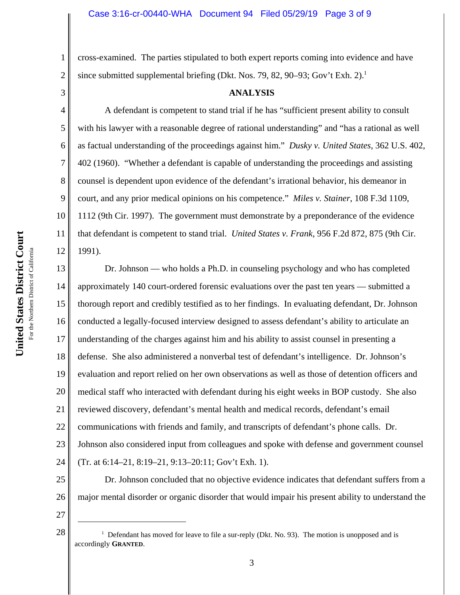cross-examined. The parties stipulated to both expert reports coming into evidence and have since submitted supplemental briefing (Dkt. Nos. 79, 82, 90–93; Gov't Exh. 2).<sup>1</sup>

3

4

5

6

7

8

9

10

11

12

1

2

### **ANALYSIS**

A defendant is competent to stand trial if he has "sufficient present ability to consult with his lawyer with a reasonable degree of rational understanding" and "has a rational as well as factual understanding of the proceedings against him." *Dusky v. United States*, 362 U.S. 402, 402 (1960). "Whether a defendant is capable of understanding the proceedings and assisting counsel is dependent upon evidence of the defendant's irrational behavior, his demeanor in court, and any prior medical opinions on his competence." *Miles v. Stainer*, 108 F.3d 1109, 1112 (9th Cir. 1997). The government must demonstrate by a preponderance of the evidence that defendant is competent to stand trial. *United States v. Frank*, 956 F.2d 872, 875 (9th Cir. 1991).

13 14 15 16 17 18 19 20 21 22 23 24 Dr. Johnson — who holds a Ph.D. in counseling psychology and who has completed approximately 140 court-ordered forensic evaluations over the past ten years — submitted a thorough report and credibly testified as to her findings. In evaluating defendant, Dr. Johnson conducted a legally-focused interview designed to assess defendant's ability to articulate an understanding of the charges against him and his ability to assist counsel in presenting a defense. She also administered a nonverbal test of defendant's intelligence. Dr. Johnson's evaluation and report relied on her own observations as well as those of detention officers and medical staff who interacted with defendant during his eight weeks in BOP custody. She also reviewed discovery, defendant's mental health and medical records, defendant's email communications with friends and family, and transcripts of defendant's phone calls. Dr. Johnson also considered input from colleagues and spoke with defense and government counsel (Tr. at 6:14–21, 8:19–21, 9:13–20:11; Gov't Exh. 1).

Dr. Johnson concluded that no objective evidence indicates that defendant suffers from a major mental disorder or organic disorder that would impair his present ability to understand the

27

28 <sup>1</sup>

25

<sup>&</sup>lt;sup>1</sup> Defendant has moved for leave to file a sur-reply (Dkt. No. 93). The motion is unopposed and is accordingly **GRANTED**.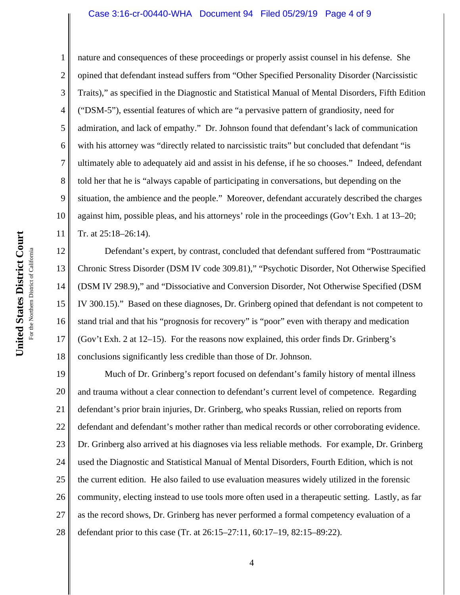#### Case 3:16-cr-00440-WHA Document 94 Filed 05/29/19 Page 4 of 9

nature and consequences of these proceedings or properly assist counsel in his defense. She opined that defendant instead suffers from "Other Specified Personality Disorder (Narcissistic Traits)," as specified in the Diagnostic and Statistical Manual of Mental Disorders, Fifth Edition ("DSM-5"), essential features of which are "a pervasive pattern of grandiosity, need for admiration, and lack of empathy." Dr. Johnson found that defendant's lack of communication with his attorney was "directly related to narcissistic traits" but concluded that defendant "is ultimately able to adequately aid and assist in his defense, if he so chooses." Indeed, defendant told her that he is "always capable of participating in conversations, but depending on the situation, the ambience and the people." Moreover, defendant accurately described the charges against him, possible pleas, and his attorneys' role in the proceedings (Gov't Exh. 1 at 13–20; Tr. at 25:18–26:14).

12 13 14 15 16 17 18 Defendant's expert, by contrast, concluded that defendant suffered from "Posttraumatic Chronic Stress Disorder (DSM IV code 309.81)," "Psychotic Disorder, Not Otherwise Specified (DSM IV 298.9)," and "Dissociative and Conversion Disorder, Not Otherwise Specified (DSM IV 300.15)." Based on these diagnoses, Dr. Grinberg opined that defendant is not competent to stand trial and that his "prognosis for recovery" is "poor" even with therapy and medication (Gov't Exh. 2 at 12–15). For the reasons now explained, this order finds Dr. Grinberg's conclusions significantly less credible than those of Dr. Johnson.

19 20 21 22 23 24 25 26 27 28 Much of Dr. Grinberg's report focused on defendant's family history of mental illness and trauma without a clear connection to defendant's current level of competence. Regarding defendant's prior brain injuries, Dr. Grinberg, who speaks Russian, relied on reports from defendant and defendant's mother rather than medical records or other corroborating evidence. Dr. Grinberg also arrived at his diagnoses via less reliable methods. For example, Dr. Grinberg used the Diagnostic and Statistical Manual of Mental Disorders, Fourth Edition, which is not the current edition. He also failed to use evaluation measures widely utilized in the forensic community, electing instead to use tools more often used in a therapeutic setting. Lastly, as far as the record shows, Dr. Grinberg has never performed a formal competency evaluation of a defendant prior to this case (Tr. at 26:15–27:11, 60:17–19, 82:15–89:22).

1

2

3

4

5

6

7

8

9

10

11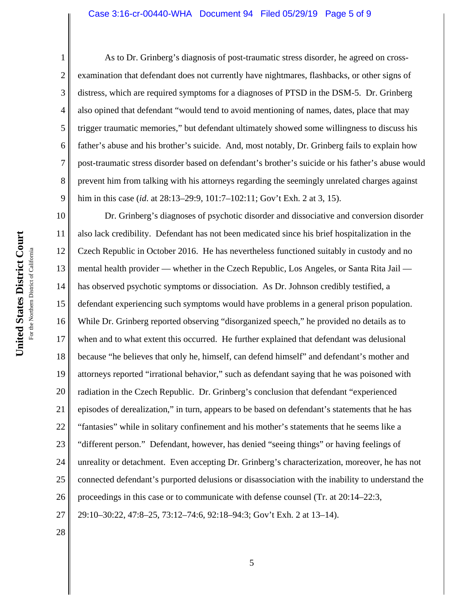#### Case 3:16-cr-00440-WHA Document 94 Filed 05/29/19 Page 5 of 9

As to Dr. Grinberg's diagnosis of post-traumatic stress disorder, he agreed on crossexamination that defendant does not currently have nightmares, flashbacks, or other signs of distress, which are required symptoms for a diagnoses of PTSD in the DSM-5. Dr. Grinberg also opined that defendant "would tend to avoid mentioning of names, dates, place that may trigger traumatic memories," but defendant ultimately showed some willingness to discuss his father's abuse and his brother's suicide. And, most notably, Dr. Grinberg fails to explain how post-traumatic stress disorder based on defendant's brother's suicide or his father's abuse would prevent him from talking with his attorneys regarding the seemingly unrelated charges against him in this case (*id*. at 28:13–29:9, 101:7–102:11; Gov't Exh. 2 at 3, 15).

10 11 12 13 14 15 16 17 18 19 20 21 22 23 24 25 26 27 Dr. Grinberg's diagnoses of psychotic disorder and dissociative and conversion disorder also lack credibility. Defendant has not been medicated since his brief hospitalization in the Czech Republic in October 2016. He has nevertheless functioned suitably in custody and no mental health provider — whether in the Czech Republic, Los Angeles, or Santa Rita Jail has observed psychotic symptoms or dissociation. As Dr. Johnson credibly testified, a defendant experiencing such symptoms would have problems in a general prison population. While Dr. Grinberg reported observing "disorganized speech," he provided no details as to when and to what extent this occurred. He further explained that defendant was delusional because "he believes that only he, himself, can defend himself" and defendant's mother and attorneys reported "irrational behavior," such as defendant saying that he was poisoned with radiation in the Czech Republic. Dr. Grinberg's conclusion that defendant "experienced episodes of derealization," in turn, appears to be based on defendant's statements that he has "fantasies" while in solitary confinement and his mother's statements that he seems like a "different person." Defendant, however, has denied "seeing things" or having feelings of unreality or detachment. Even accepting Dr. Grinberg's characterization, moreover, he has not connected defendant's purported delusions or disassociation with the inability to understand the proceedings in this case or to communicate with defense counsel (Tr. at 20:14–22:3, 29:10–30:22, 47:8–25, 73:12–74:6, 92:18–94:3; Gov't Exh. 2 at 13–14).

United States District Court **United States District Court** For the Northern District of California For the Northern District of California 1

2

3

4

5

6

7

8

9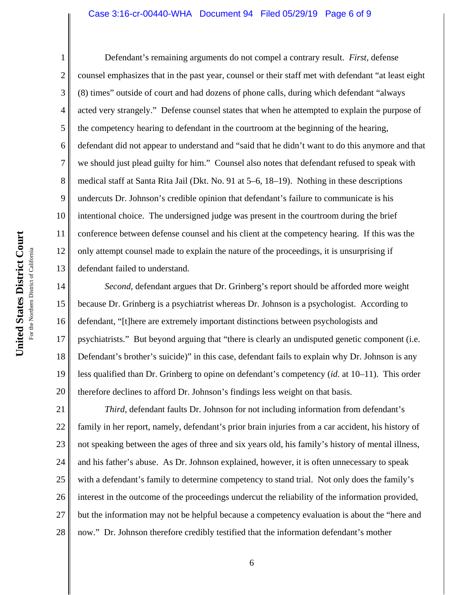#### Case 3:16-cr-00440-WHA Document 94 Filed 05/29/19 Page 6 of 9

1 2 3 4 5 6 7 8 9 10 11 12 13 Defendant's remaining arguments do not compel a contrary result. *First*, defense counsel emphasizes that in the past year, counsel or their staff met with defendant "at least eight (8) times" outside of court and had dozens of phone calls, during which defendant "always acted very strangely." Defense counsel states that when he attempted to explain the purpose of the competency hearing to defendant in the courtroom at the beginning of the hearing, defendant did not appear to understand and "said that he didn't want to do this anymore and that we should just plead guilty for him." Counsel also notes that defendant refused to speak with medical staff at Santa Rita Jail (Dkt. No. 91 at 5–6, 18–19). Nothing in these descriptions undercuts Dr. Johnson's credible opinion that defendant's failure to communicate is his intentional choice. The undersigned judge was present in the courtroom during the brief conference between defense counsel and his client at the competency hearing. If this was the only attempt counsel made to explain the nature of the proceedings, it is unsurprising if defendant failed to understand.

14 15 16 17 18 19 20 *Second*, defendant argues that Dr. Grinberg's report should be afforded more weight because Dr. Grinberg is a psychiatrist whereas Dr. Johnson is a psychologist. According to defendant, "[t]here are extremely important distinctions between psychologists and psychiatrists." But beyond arguing that "there is clearly an undisputed genetic component (i.e. Defendant's brother's suicide)" in this case, defendant fails to explain why Dr. Johnson is any less qualified than Dr. Grinberg to opine on defendant's competency (*id*. at 10–11). This order therefore declines to afford Dr. Johnson's findings less weight on that basis.

21 22 23 24 25 26 27 28 *Third*, defendant faults Dr. Johnson for not including information from defendant's family in her report, namely, defendant's prior brain injuries from a car accident, his history of not speaking between the ages of three and six years old, his family's history of mental illness, and his father's abuse. As Dr. Johnson explained, however, it is often unnecessary to speak with a defendant's family to determine competency to stand trial. Not only does the family's interest in the outcome of the proceedings undercut the reliability of the information provided, but the information may not be helpful because a competency evaluation is about the "here and now." Dr. Johnson therefore credibly testified that the information defendant's mother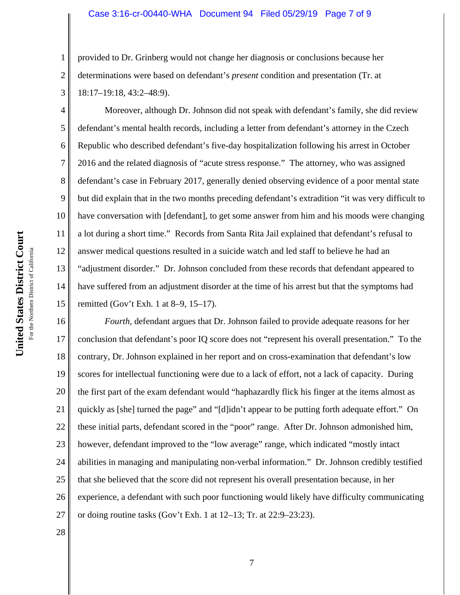#### Case 3:16-cr-00440-WHA Document 94 Filed 05/29/19 Page 7 of 9

provided to Dr. Grinberg would not change her diagnosis or conclusions because her determinations were based on defendant's *present* condition and presentation (Tr. at 18:17–19:18, 43:2–48:9).

4 5 8 9 10 11 12 13 14 15 Moreover, although Dr. Johnson did not speak with defendant's family, she did review defendant's mental health records, including a letter from defendant's attorney in the Czech Republic who described defendant's five-day hospitalization following his arrest in October 2016 and the related diagnosis of "acute stress response." The attorney, who was assigned defendant's case in February 2017, generally denied observing evidence of a poor mental state but did explain that in the two months preceding defendant's extradition "it was very difficult to have conversation with [defendant], to get some answer from him and his moods were changing a lot during a short time." Records from Santa Rita Jail explained that defendant's refusal to answer medical questions resulted in a suicide watch and led staff to believe he had an "adjustment disorder." Dr. Johnson concluded from these records that defendant appeared to have suffered from an adjustment disorder at the time of his arrest but that the symptoms had remitted (Gov't Exh. 1 at 8–9, 15–17).

16 17 18 19 20 21 22 23 24 25 26 27 *Fourth*, defendant argues that Dr. Johnson failed to provide adequate reasons for her conclusion that defendant's poor IQ score does not "represent his overall presentation." To the contrary, Dr. Johnson explained in her report and on cross-examination that defendant's low scores for intellectual functioning were due to a lack of effort, not a lack of capacity. During the first part of the exam defendant would "haphazardly flick his finger at the items almost as quickly as [she] turned the page" and "[d]idn't appear to be putting forth adequate effort." On these initial parts, defendant scored in the "poor" range. After Dr. Johnson admonished him, however, defendant improved to the "low average" range, which indicated "mostly intact abilities in managing and manipulating non-verbal information." Dr. Johnson credibly testified that she believed that the score did not represent his overall presentation because, in her experience, a defendant with such poor functioning would likely have difficulty communicating or doing routine tasks (Gov't Exh. 1 at 12–13; Tr. at 22:9–23:23).

28

1

2

3

6

7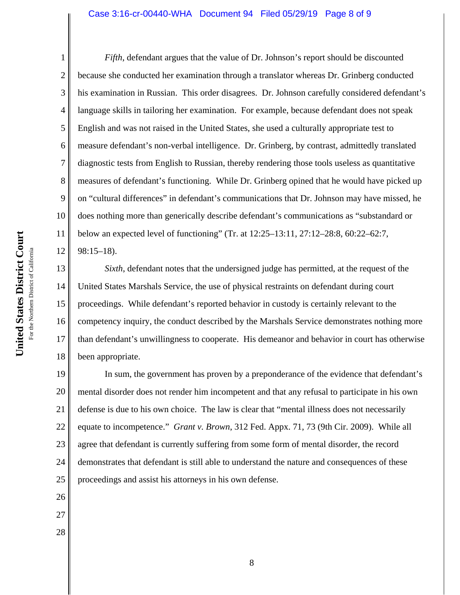#### Case 3:16-cr-00440-WHA Document 94 Filed 05/29/19 Page 8 of 9

United States District Court **United States District Court** For the Northern District of California For the Northern District of California

26

27

28

1 2 3 4 5 6 7 8 9 10 11 12 *Fifth*, defendant argues that the value of Dr. Johnson's report should be discounted because she conducted her examination through a translator whereas Dr. Grinberg conducted his examination in Russian. This order disagrees. Dr. Johnson carefully considered defendant's language skills in tailoring her examination. For example, because defendant does not speak English and was not raised in the United States, she used a culturally appropriate test to measure defendant's non-verbal intelligence. Dr. Grinberg, by contrast, admittedly translated diagnostic tests from English to Russian, thereby rendering those tools useless as quantitative measures of defendant's functioning. While Dr. Grinberg opined that he would have picked up on "cultural differences" in defendant's communications that Dr. Johnson may have missed, he does nothing more than generically describe defendant's communications as "substandard or below an expected level of functioning" (Tr. at 12:25–13:11, 27:12–28:8, 60:22–62:7, 98:15–18).

13 14 15 16 17 18 *Sixth*, defendant notes that the undersigned judge has permitted, at the request of the United States Marshals Service, the use of physical restraints on defendant during court proceedings. While defendant's reported behavior in custody is certainly relevant to the competency inquiry, the conduct described by the Marshals Service demonstrates nothing more than defendant's unwillingness to cooperate. His demeanor and behavior in court has otherwise been appropriate.

19 20 21 22 23 24 25 In sum, the government has proven by a preponderance of the evidence that defendant's mental disorder does not render him incompetent and that any refusal to participate in his own defense is due to his own choice. The law is clear that "mental illness does not necessarily equate to incompetence." *Grant v. Brown*, 312 Fed. Appx. 71, 73 (9th Cir. 2009). While all agree that defendant is currently suffering from some form of mental disorder, the record demonstrates that defendant is still able to understand the nature and consequences of these proceedings and assist his attorneys in his own defense.